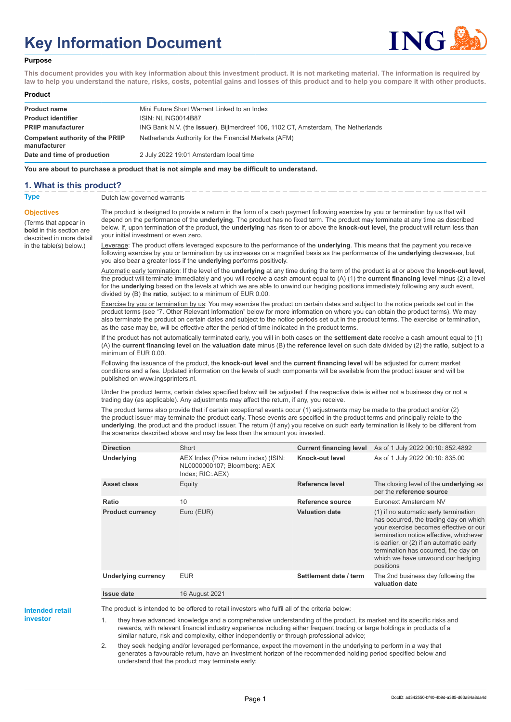# **Key Information Document**



#### **Purpose**

**This document provides you with key information about this investment product. It is not marketing material. The information is required by law to help you understand the nature, risks, costs, potential gains and losses of this product and to help you compare it with other products.**

#### **Product**

| <b>Product name</b>                              | Mini Future Short Warrant Linked to an Index                                      |
|--------------------------------------------------|-----------------------------------------------------------------------------------|
| <b>Product identifier</b>                        | ISIN: NLING0014B87                                                                |
| <b>PRIIP manufacturer</b>                        | ING Bank N.V. (the issuer), Bijlmerdreef 106, 1102 CT, Amsterdam, The Netherlands |
| Competent authority of the PRIIP<br>manufacturer | Netherlands Authority for the Financial Markets (AFM)                             |
| Date and time of production                      | 2 July 2022 19:01 Amsterdam local time                                            |

**You are about to purchase a product that is not simple and may be difficult to understand.**

### **1. What is this product?**

**Objectives**

(Terms that appear in **bold** in this section are

in the table(s) below.)

**Type** Dutch law governed warrants

described in more detail The product is designed to provide a return in the form of a cash payment following exercise by you or termination by us that will depend on the performance of the **underlying**. The product has no fixed term. The product may terminate at any time as described below. If, upon termination of the product, the **underlying** has risen to or above the **knock-out level**, the product will return less than your initial investment or even zero.

> Leverage: The product offers leveraged exposure to the performance of the **underlying**. This means that the payment you receive following exercise by you or termination by us increases on a magnified basis as the performance of the **underlying** decreases, but you also bear a greater loss if the **underlying** performs positively.

Automatic early termination: If the level of the **underlying** at any time during the term of the product is at or above the **knock-out level**, the product will terminate immediately and you will receive a cash amount equal to (A) (1) the **current financing level** minus (2) a level for the **underlying** based on the levels at which we are able to unwind our hedging positions immediately following any such event, divided by (B) the **ratio**, subject to a minimum of EUR 0.00.

Exercise by you or termination by us: You may exercise the product on certain dates and subject to the notice periods set out in the product terms (see "7. Other Relevant Information" below for more information on where you can obtain the product terms). We may also terminate the product on certain dates and subject to the notice periods set out in the product terms. The exercise or termination, as the case may be, will be effective after the period of time indicated in the product terms.

If the product has not automatically terminated early, you will in both cases on the **settlement date** receive a cash amount equal to (1) (A) the **current financing level** on the **valuation date** minus (B) the **reference level** on such date divided by (2) the **ratio**, subject to a minimum of EUR 0.00.

Following the issuance of the product, the **knock-out level** and the **current financing level** will be adjusted for current market conditions and a fee. Updated information on the levels of such components will be available from the product issuer and will be published on www.ingsprinters.nl.

Under the product terms, certain dates specified below will be adjusted if the respective date is either not a business day or not a trading day (as applicable). Any adjustments may affect the return, if any, you receive.

The product terms also provide that if certain exceptional events occur (1) adjustments may be made to the product and/or (2) the product issuer may terminate the product early. These events are specified in the product terms and principally relate to the **underlying**, the product and the product issuer. The return (if any) you receive on such early termination is likely to be different from the scenarios described above and may be less than the amount you invested.

| <b>Direction</b>           | Short                                                                                     |                        | <b>Current financing level</b> As of 1 July 2022 00:10: 852.4892                                                                                                                                                                                                                                           |
|----------------------------|-------------------------------------------------------------------------------------------|------------------------|------------------------------------------------------------------------------------------------------------------------------------------------------------------------------------------------------------------------------------------------------------------------------------------------------------|
| Underlying                 | AEX Index (Price return index) (ISIN:<br>NL0000000107; Bloomberg: AEX<br>Index; RIC: AEX) | Knock-out level        | As of 1 July 2022 00:10: 835.00                                                                                                                                                                                                                                                                            |
| Asset class                | Equity                                                                                    | Reference level        | The closing level of the <b>underlying</b> as<br>per the reference source                                                                                                                                                                                                                                  |
| Ratio                      | 10                                                                                        | Reference source       | Euronext Amsterdam NV                                                                                                                                                                                                                                                                                      |
| <b>Product currency</b>    | Euro (EUR)                                                                                | <b>Valuation date</b>  | (1) if no automatic early termination<br>has occurred, the trading day on which<br>your exercise becomes effective or our<br>termination notice effective, whichever<br>is earlier, or (2) if an automatic early<br>termination has occurred, the day on<br>which we have unwound our hedging<br>positions |
| <b>Underlying currency</b> | <b>EUR</b>                                                                                | Settlement date / term | The 2nd business day following the<br>valuation date                                                                                                                                                                                                                                                       |
| <b>Issue date</b>          | 16 August 2021                                                                            |                        |                                                                                                                                                                                                                                                                                                            |

**Intended retail**

**investor**

The product is intended to be offered to retail investors who fulfil all of the criteria below:

they have advanced knowledge and a comprehensive understanding of the product, its market and its specific risks and rewards, with relevant financial industry experience including either frequent trading or large holdings in products of a similar nature, risk and complexity, either independently or through professional advice;

2. they seek hedging and/or leveraged performance, expect the movement in the underlying to perform in a way that generates a favourable return, have an investment horizon of the recommended holding period specified below and understand that the product may terminate early;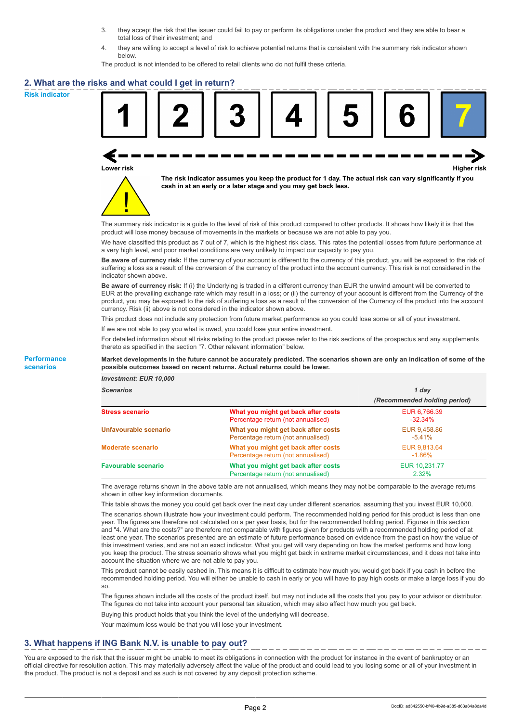- 3. they accept the risk that the issuer could fail to pay or perform its obligations under the product and they are able to bear a total loss of their investment; and
- 4. they are willing to accept a level of risk to achieve potential returns that is consistent with the summary risk indicator shown below.

The product is not intended to be offered to retail clients who do not fulfil these criteria.

### **2. What are the risks and what could I get in return?**

**Risk indicator**

**Performance scenarios**





**The risk indicator assumes you keep the product for 1 day. The actual risk can vary significantly if you cash in at an early or a later stage and you may get back less.**

The summary risk indicator is a guide to the level of risk of this product compared to other products. It shows how likely it is that the product will lose money because of movements in the markets or because we are not able to pay you.

We have classified this product as 7 out of 7, which is the highest risk class. This rates the potential losses from future performance at a very high level, and poor market conditions are very unlikely to impact our capacity to pay you.

**Be aware of currency risk:** If the currency of your account is different to the currency of this product, you will be exposed to the risk of suffering a loss as a result of the conversion of the currency of the product into the account currency. This risk is not considered in the indicator shown above.

**Be aware of currency risk:** If (i) the Underlying is traded in a different currency than EUR the unwind amount will be converted to EUR at the prevailing exchange rate which may result in a loss; or (ii) the currency of your account is different from the Currency of the product, you may be exposed to the risk of suffering a loss as a result of the conversion of the Currency of the product into the account currency. Risk (ii) above is not considered in the indicator shown above.

This product does not include any protection from future market performance so you could lose some or all of your investment.

If we are not able to pay you what is owed, you could lose your entire investment.

For detailed information about all risks relating to the product please refer to the risk sections of the prospectus and any supplements thereto as specified in the section "7. Other relevant information" below.

#### **Market developments in the future cannot be accurately predicted. The scenarios shown are only an indication of some of the possible outcomes based on recent returns. Actual returns could be lower.**

*Investment: EUR 10,000*

| <b>Scenarios</b>           |                                                                           | 1 dav                        |  |
|----------------------------|---------------------------------------------------------------------------|------------------------------|--|
|                            |                                                                           | (Recommended holding period) |  |
| <b>Stress scenario</b>     | What you might get back after costs<br>Percentage return (not annualised) | EUR 6,766.39<br>$-32.34\%$   |  |
| Unfavourable scenario      | What you might get back after costs<br>Percentage return (not annualised) | EUR 9,458.86<br>$-5.41%$     |  |
| <b>Moderate scenario</b>   | What you might get back after costs<br>Percentage return (not annualised) | EUR 9,813.64<br>$-1.86%$     |  |
| <b>Favourable scenario</b> | What you might get back after costs<br>Percentage return (not annualised) | EUR 10.231.77<br>$2.32\%$    |  |

The average returns shown in the above table are not annualised, which means they may not be comparable to the average returns shown in other key information documents.

This table shows the money you could get back over the next day under different scenarios, assuming that you invest EUR 10,000.

The scenarios shown illustrate how your investment could perform. The recommended holding period for this product is less than one year. The figures are therefore not calculated on a per year basis, but for the recommended holding period. Figures in this section and "4. What are the costs?" are therefore not comparable with figures given for products with a recommended holding period of at least one year. The scenarios presented are an estimate of future performance based on evidence from the past on how the value of this investment varies, and are not an exact indicator. What you get will vary depending on how the market performs and how long you keep the product. The stress scenario shows what you might get back in extreme market circumstances, and it does not take into account the situation where we are not able to pay you.

This product cannot be easily cashed in. This means it is difficult to estimate how much you would get back if you cash in before the recommended holding period. You will either be unable to cash in early or you will have to pay high costs or make a large loss if you do so.

The figures shown include all the costs of the product itself, but may not include all the costs that you pay to your advisor or distributor. The figures do not take into account your personal tax situation, which may also affect how much you get back.

Buying this product holds that you think the level of the underlying will decrease.

Your maximum loss would be that you will lose your investment.

## **3. What happens if ING Bank N.V. is unable to pay out?**

You are exposed to the risk that the issuer might be unable to meet its obligations in connection with the product for instance in the event of bankruptcy or an official directive for resolution action. This may materially adversely affect the value of the product and could lead to you losing some or all of your investment in the product. The product is not a deposit and as such is not covered by any deposit protection scheme.